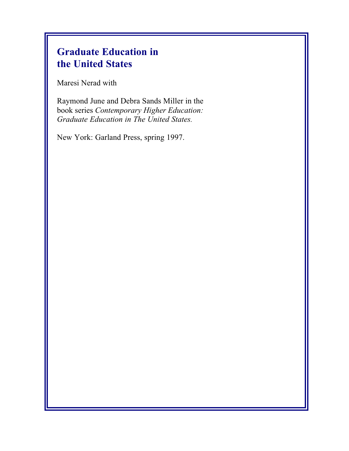# **Graduate Education in the United States**

Maresi Nerad with

Raymond June and Debra Sands Miller in the book series *Contemporary Higher Education: Graduate Education in The United States.*

New York: Garland Press, spring 1997.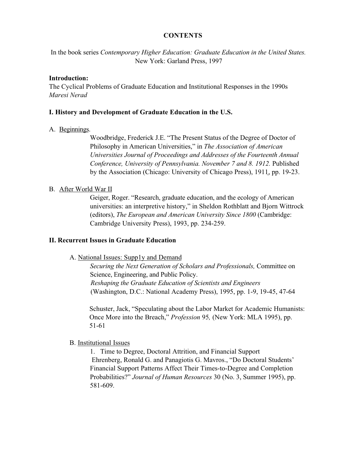### **CONTENTS**

In the book series *Contemporary Higher Education: Graduate Education in the United States.* New York: Garland Press, 1997

### **Introduction:**

The Cyclical Problems of Graduate Education and Institutional Responses in the 1990s *Maresi Nerad*

### **I. History and Development of Graduate Education in the U.S.**

### A. Beginnings.

Woodbridge, Frederick J.E. "The Present Status of the Degree of Doctor of Philosophy in American Universities," in *The Association of American Universities Journal of Proceedings and Addresses of the Fourteenth Annual Conference, University of Pennsylvania. November 7 and 8. 1912.* Published by the Association (Chicago: University of Chicago Press), 1911, pp. 19-23.

### B. After World War II

Geiger, Roger. "Research, graduate education, and the ecology of American universities: an interpretive history," in Sheldon Rothblatt and Bjorn Wittrock (editors), *The European and American University Since 1800* (Cambridge: Cambridge University Press), 1993, pp. 234-259.

### **II. Recurrent Issues in Graduate Education**

### A. National Issues: Supp1y and Demand

*Securing the Next Generation of Scholars and Professionals,* Committee on Science, Engineering, and Public Policy. *Reshaping the Graduate Education of Scientists and Engineers* (Washington, D.C.: National Academy Press), 1995, pp. 1-9, 19-45, 47-64

Schuster, Jack, "Speculating about the Labor Market for Academic Humanists: Once More into the Breach," *Profession* 95*,* (New York: MLA 1995), pp. 51-61

### B. Institutional Issues

1. Time to Degree, Doctoral Attrition, and Financial Support Ehrenberg, Ronald G. and Panagiotis G. Mavros., "Do Doctoral Students' Financial Support Patterns Affect Their Times-to-Degree and Completion Probabilities?" *Journal of Human Resources* 30 (No. 3, Summer 1995), pp. 581-609.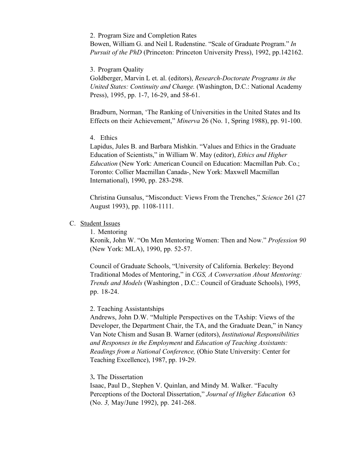#### 2. Program Size and Completion Rates

Bowen, William G. and Neil L Rudenstine. "Scale of Graduate Program." *In Pursuit of the PhD* (Princeton: Princeton University Press), 1992, pp.142162.

### 3. Program Quality

Goldberger, Marvin L et. al. (editors), *Research-Doctorate Programs in the United States: Continuity and Change.* (Washington, D.C.: National Academy Press), 1995, pp. 1-7, 16-29, and 58-61.

Bradburn, Norman, 'The Ranking of Universities in the United States and Its Effects on their Achievement," *Minerva* 26 (No. 1, Spring 1988), pp. 91-100.

### 4. Ethics

Lapidus, Jules B. and Barbara Mishkin. "Values and Ethics in the Graduate Education of Scientists," in William W. May (editor), *Ethics and Higher Education* (New York: American Council on Education: Macmillan Pub. Co.; Toronto: Collier Macmillan Canada-, New York: Maxwell Macmillan International), 1990, pp. 283-298.

Christina Gunsalus, "Misconduct: Views From the Trenches," *Science* 261 (27 August 1993), pp. 1108-1111.

### C. Student Issues

1. Mentoring

Kronik, John W. "On Men Mentoring Women: Then and Now." *Profession 90* (New York: MLA), 1990, pp. 52-57.

Council of Graduate Schools, "University of California. Berkeley: Beyond Traditional Modes of Mentoring," in *CGS, A Conversation About Mentoring: Trends and Models* (Washington , D.C.: Council of Graduate Schools), 1995, pp. 18-24.

#### 2. Teaching Assistantships

Andrews, John D.W. "Multiple Perspectives on the TAship: Views of the Developer, the Department Chair, the TA, and the Graduate Dean," in Nancy Van Note Chism and Susan B. Warner (editors), *Institutional Responsibilities and Responses in the Employment* and *Education of Teaching Assistants: Readings from a National Conference,* (Ohio State University: Center for Teaching Excellence), 1987, pp. 19-29.

### 3*.* The Dissertation

Isaac, Paul D., Stephen V. Quinlan, and Mindy M. Walker. "Faculty Perceptions of the Doctoral Dissertation," *Journal of Higher Education* 63 (No. *3,* May/June 1992), pp. 241-268.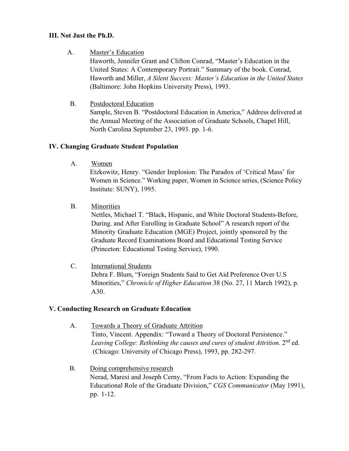# **III. Not Just the Ph.D.**

A. Master's Education

Haworth, Jennifer Grant and Clifton Conrad, "Master's Education in the United States: A Contemporary Portrait." Summary of the book. Conrad, Haworth and Miller, *A Silent Success: Master's Education in the United States* (Baltimore: John Hopkins University Press), 1993.

B. Postdoctoral Education

Sample, Steven B. "Postdoctoral Education in America," Address delivered at the Annual Meeting of the Association of Graduate Schools, Chapel Hill, North Carolina September 23, 1993. pp. 1-6.

# **IV. Changing Graduate Student Population**

A. Women

Etzkowitz, Henry. "Gender Implosion: The Paradox of 'Critical Mass' for Women in Science." Working paper, Women in Science series, (Science Policy Institute: SUNY), 1995.

B. Minorities

Nettles, Michael T. "Black, Hispanic, and White Doctoral Students-Before, During. and After Enrolling in Graduate School" A research report of the Minority Graduate Education (MGE) Project, jointly sponsored by the Graduate Record Examinations Board and Educational Testing Service (Princeton: Educational Testing Service), 1990.

C. International Students Debra F. Blum, "Foreign Students Said to Get Aid Preference Over U.S Minorities," *Chronicle of Higher Education* 38 (No. 27, 11 March 1992), p. A30.

# **V. Conducting Research on Graduate Education**

- A. Towards a Theory of Graduate Attrition Tinto, Vincent. Appendix: "Toward a Theory of Doctoral Persistence." Leaving College: Rethinking the causes and cures of student Attrition. 2<sup>nd</sup> ed. (Chicago: University of Chicago Press), 1993, pp. 282-297.
- B. Doing comprehensive research Nerad, Maresi and Joseph Cerny, "From Facts to Action: Expanding the Educational Role of the Graduate Division," *CGS Communicator* (May 1991), pp. 1-12.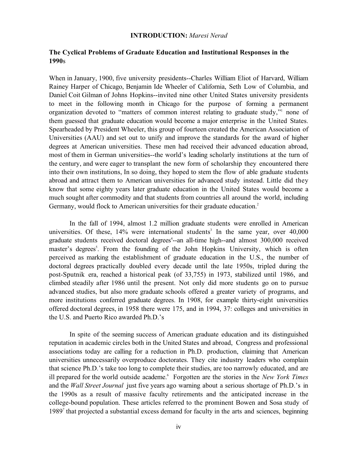#### **INTRODUCTION:** *Maresi Nerad*

## **The Cyclical Problems of Graduate Education and Institutional Responses in the 1990**s

When in January, 1900, five university presidents--Charles William Eliot of Harvard, William Rainey Harper of Chicago, Benjamin Ide Wheeler of California, Seth Low of Columbia, and Daniel Coit Gilman of Johns Hopkins--invited nine other United States university presidents to meet in the following month in Chicago for the purpose of forming a permanent organization devoted to "matters of common interest relating to graduate study,"1 none of them guessed that graduate education would become a major enterprise in the United States. Spearheaded by President Wheeler, this group of fourteen created the American Association of Universities (AAU) and set out to unify and improve the standards for the award of higher degrees at American universities. These men had received their advanced education abroad, most of them in German universities--the world's leading scholarly institutions at the turn of the century, and were eager to transplant the new form of scholarship they encountered there into their own institutions, In so doing, they hoped to stem the flow of able graduate students abroad and attract them to American universities for advanced study instead. Little did they know that some eighty years later graduate education in the United States would become a much sought after commodity and that students from countries all around the world, including Germany, would flock to American universities for their graduate education.<sup>2</sup>

In the fall of 1994, almost 1.2 million graduate students were enrolled in American universities. Of these,  $14\%$  were international students<sup>3</sup> In the same year, over  $40,000$ graduate students received doctoral degrees<sup>4</sup>--an all-time high--and almost 300,000 received master's degrees<sup>5</sup>. From the founding of the John Hopkins University, which is often perceived as marking the establishment of graduate education in the U.S., the number of doctoral degrees practically doubled every decade until the late 1950s, tripled during the post-Sputnik era, reached a historical peak (of 33,755) in 1973, stabilized until 1986, and climbed steadily after 1986 until the present. Not only did more students go on to pursue advanced studies, but also more graduate schools offered a greater variety of programs, and more institutions conferred graduate degrees. In 1908, for example thirty-eight universities offered doctoral degrees, in 1958 there were 175, and in 1994, 37: colleges and universities in the U.S. and Puerto Rico awarded Ph.D.'s

In spite of the seeming success of American graduate education and its distinguished reputation in academic circles both in the United States and abroad, Congress and professional associations today are calling for a reduction in Ph.D. production, claiming that American universities unnecessarily overproduce doctorates. They cite industry leaders who complain that science Ph.D.'s take too long to complete their studies, are too narrowly educated, and are ill prepared for the world outside academe.<sup>6</sup> Forgotten are the stories in the *New York Times* and the *Wall Street Journal* just five years ago warning about a serious shortage of Ph.D.'s in the 1990s as a result of massive faculty retirements and the anticipated increase in the college-bound population. These articles referred to the prominent Bowen and Sosa study of 1989<sup>7</sup> that projected a substantial excess demand for faculty in the arts and sciences, beginning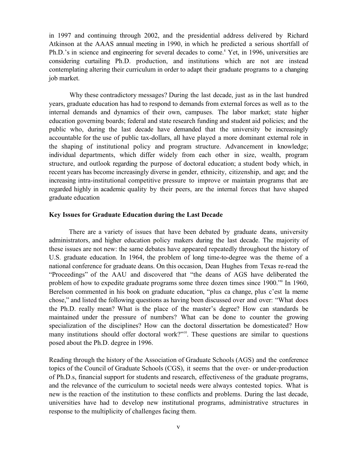in 1997 and continuing through 2002, and the presidential address delivered by Richard Atkinson at the AAAS annual meeting in 1990, in which he predicted a serious shortfall of Ph.D.'s in science and engineering for several decades to come.<sup>8</sup> Yet, in 1996, universities are considering curtailing Ph.D. production, and institutions which are not are instead contemplating altering their curriculum in order to adapt their graduate programs to a changing job market.

Why these contradictory messages? During the last decade, just as in the last hundred years, graduate education has had to respond to demands from external forces as well as to the internal demands and dynamics of their own, campuses. The labor market; state higher education governing boards; federal and state research funding and student aid policies; and the public who, during the last decade have demanded that the university be increasingly accountable for the use of public tax-dollars, all have played a more dominant external role in the shaping of institutional policy and program structure. Advancement in knowledge; individual departments, which differ widely from each other in size, wealth, program structure, and outlook regarding the purpose of doctoral education; a student body which, in recent years has become increasingly diverse in gender, ethnicity, citizenship, and age; and the increasing intra-institutional competitive pressure to improve or maintain programs that are regarded highly in academic quality by their peers, are the internal forces that have shaped graduate education

#### **Key Issues for Graduate Education during the Last Decade**

There are a variety of issues that have been debated by graduate deans, university administrators, and higher education policy makers during the last decade. The majority of these issues are not new: the same debates have appeared repeatedly throughout the history of U.S. graduate education. In 1964, the problem of long time-to-degree was the theme of a national conference for graduate deans. On this occasion, Dean Hughes from Texas re-read the "Proceedings" of the AAU and discovered that "the deans of AGS have deliberated the problem of how to expedite graduate programs some three dozen times since 1900."<sup>9</sup> In 1960, Berelson commented in his book on graduate education, "plus ca change, plus c'est la meme chose," and listed the following questions as having been discussed over and over: "What does the Ph.D. really mean? What is the place of the master's degree? How can standards be maintained under the pressure of numbers? What can be done to counter the growing specialization of the disciplines? How can the doctoral dissertation be domesticated? How many institutions should offer doctoral work?"<sup>10</sup>. These questions are similar to questions posed about the Ph.D. degree in 1996.

Reading through the history of the Association of Graduate Schools (AGS) and the conference topics of the Council of Graduate Schools (CGS), it seems that the over- or under-production of Ph.D.s, financial support for students and research, effectiveness of the graduate programs, and the relevance of the curriculum to societal needs were always contested topics. What is new is the reaction of the institution to these conflicts and problems. During the last decade, universities have had to develop new institutional programs, administrative structures in response to the multiplicity of challenges facing them.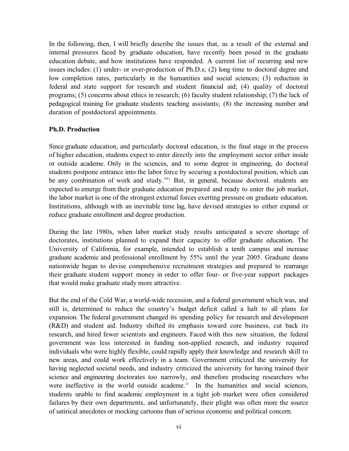In the following, then, I will briefly describe the issues that, as a result of the external and internal pressures faced by graduate education, have recently been posed in the graduate education debate, and how institutions have responded. A current list of recurring and new issues includes: (1) under- or over-production of Ph.D.s; (2) long time to doctoral degree and low completion rates, particularly in the humanities and social sciences; (3) reduction in federal and state support for research and student financial aid; (4) quality of doctoral programs; (5) concerns about ethics in research; (6) faculty student relationship; (7) the lack of pedagogical training for graduate students teaching assistants; (8) the increasing number and duration of postdoctoral appointments.

### **Ph.D. Production**

Since graduate education, and particularly doctoral education, is the final stage in the process of higher education, students expect to enter directly into the employment sector either inside or outside academe. Only in the sciences, and to some degree in engineering, do doctoral students postpone entrance into the labor force by securing a postdoctoral position, which can be any combination of work and study."<sup>11</sup> But, in general, because doctoral. students are expected to emerge from their graduate education prepared and ready to enter the job market, the labor market is one of the strongest external forces exerting pressure on graduate education. Institutions, although with an inevitable time lag, have devised strategies to either expand or reduce graduate enrollment and degree production.

During the late 1980s, when labor market study results anticipated a severe shortage of doctorates, institutions planned to expand their capacity to offer graduate education. The University of California, for example, intended to establish a tenth campus and increase graduate academic and professional enrollment by 55% until the year 2005. Graduate deans nationwide began to devise comprehensive recruitment strategies and prepared to rearrange their graduate student support money in order to offer four- or five-year support packages that would make graduate study more attractive.

But the end of the Cold War, a world-wide recession, and a federal government which was, and still is, determined to reduce the country's budget deficit called a halt to all plans for expansion. The federal government changed its spending policy for research and development (R&D) and student aid. Industry shifted its emphasis toward core business, cut back its research, and hired fewer scientists and engineers. Faced with this new situation, the federal government was less interested in funding non-applied research, and industry required individuals who were highly flexible, could rapidly apply their knowledge and research skill to new areas, and could work effectively in a team. Government criticized the university for having neglected societal needs, and industry criticized the university for having trained their science and engineering doctorates too narrowly, and therefore producing researchers who were ineffective in the world outside academe.<sup>12</sup> In the humanities and social sciences, students unable to find academic employment in a tight job market were often considered failures by their own departments, and unfortunately, their plight was often more the source of satirical anecdotes or mocking cartoons than of serious economic and political concern.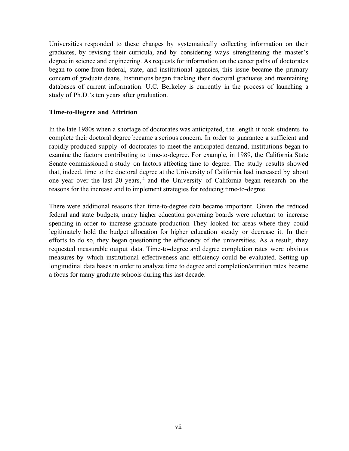Universities responded to these changes by systematically collecting information on their graduates, by revising their curricula, and by considering ways strengthening the master's degree in science and engineering. As requests for information on the career paths of doctorates began to come from federal, state, and institutional agencies, this issue became the primary concern of graduate deans. Institutions began tracking their doctoral graduates and maintaining databases of current information. U.C. Berkeley is currently in the process of launching a study of Ph.D.'s ten years after graduation.

# **Time-to-Degree and Attrition**

In the late 1980s when a shortage of doctorates was anticipated, the length it took students to complete their doctoral degree became a serious concern. In order to guarantee a sufficient and rapidly produced supply of doctorates to meet the anticipated demand, institutions began to examine the factors contributing to time-to-degree. For example, in 1989, the California State Senate commissioned a study on factors affecting time to degree. The study results showed that, indeed, time to the doctoral degree at the University of California had increased by about one year over the last 20 years,<sup>13</sup> and the University of California began research on the reasons for the increase and to implement strategies for reducing time-to-degree.

There were additional reasons that time-to-degree data became important. Given the reduced federal and state budgets, many higher education governing boards were reluctant to increase spending in order to increase graduate production They looked for areas where they could legitimately hold the budget allocation for higher education steady or decrease it. In their efforts to do so, they began questioning the efficiency of the universities. As a result, they requested measurable output data. Time-to-degree and degree completion rates were obvious measures by which institutional effectiveness and efficiency could be evaluated. Setting up longitudinal data bases in order to analyze time to degree and completion/attrition rates became a focus for many graduate schools during this last decade.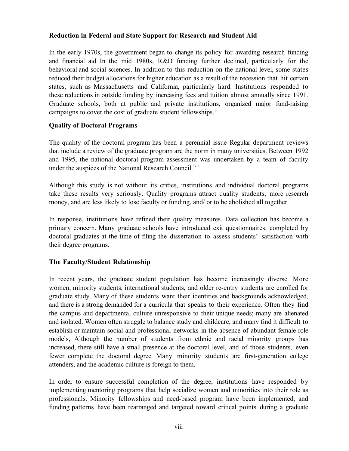# **Reduction in Federal and State Support for Research and Student Aid**

In the early 1970s, the government began to change its policy for awarding research funding and financial aid In the mid 1980s, R&D funding further declined, particularly for the behavioral and social sciences. In addition to this reduction on the national level, some states reduced their budget allocations for higher education as a result of the recession that hit certain states, such as Massachusetts and California, particularly hard. Institutions responded to these reductions in outside funding by increasing fees and tuition almost annually since 1991. Graduate schools, both at public and private institutions, organized major fund-raising campaigns to cover the cost of graduate student fellowships.<sup>14</sup>

# **Quality of Doctoral Programs**

The quality of the doctoral program has been a perennial issue Regular department reviews that include a review of the graduate program are the norm in many universities. Between 1992 and 1995, the national doctoral program assessment was undertaken by a team of faculty under the auspices of the National Research Council."15

Although this study is not without its critics, institutions and individual doctoral programs take these results very seriously. Quality programs attract quality students, more research money, and are less likely to lose faculty or funding, and/ or to be abolished all together.

In response, institutions have refined their quality measures. Data collection has become a primary concern. Many graduate schools have introduced exit questionnaires, completed by doctoral graduates at the time of filing the dissertation to assess students' satisfaction with their degree programs.

# **The Faculty/Student Relationship**

In recent years, the graduate student population has become increasingly diverse. More women, minority students, international students, and older re-entry students are enrolled for graduate study. Many of these students want their identities and backgrounds acknowledged, and there is a strong demanded for a curricula that speaks to their experience. Often they find the campus and departmental culture unresponsive to their unique needs; many are alienated and isolated. Women often struggle to balance study and childcare, and many find it difficult to establish or maintain social and professional networks in the absence of abundant female role models, Although the number of students from ethnic and racial minority groups has increased, there still have a small presence at the doctoral level, and of those students, even fewer complete the doctoral degree. Many minority students are first-generation college attenders, and the academic culture is foreign to them.

In order to ensure successful completion of the degree, institutions have responded by implementing mentoring programs that help socialize women and minorities into their role as professionals. Minority fellowships and need-based program have been implemented, and funding patterns have been rearranged and targeted toward critical points during a graduate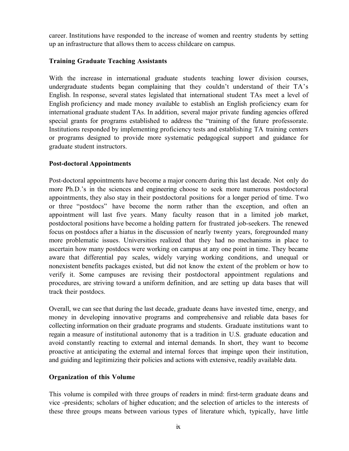career. Institutions have responded to the increase of women and reentry students by setting up an infrastructure that allows them to access childcare on campus.

# **Training Graduate Teaching Assistants**

With the increase in international graduate students teaching lower division courses, undergraduate students began complaining that they couldn't understand of their TA's English. In response, several states legislated that international student TAs meet a level of English proficiency and made money available to establish an English proficiency exam for international graduate student TAs. In addition, several major private funding agencies offered special grants for programs established to address the "training of the future professorate. Institutions responded by implementing proficiency tests and establishing TA training centers or programs designed to provide more systematic pedagogical support and guidance for graduate student instructors.

# **Post-doctoral Appointments**

Post-doctoral appointments have become a major concern during this last decade. Not only do more Ph.D.'s in the sciences and engineering choose to seek more numerous postdoctoral appointments, they also stay in their postdoctoral positions for a longer period of time. Two or three "postdocs" have become the norm rather than the exception, and often an appointment will last five years. Many faculty reason that in a limited job market, postdoctoral positions have become a holding pattern for frustrated job-seekers. The renewed focus on postdocs after a hiatus in the discussion of nearly twenty years, foregrounded many more problematic issues. Universities realized that they had no mechanisms in place to ascertain how many postdocs were working on campus at any one point in time. They became aware that differential pay scales, widely varying working conditions, and unequal or nonexistent benefits packages existed, but did not know the extent of the problem or how to verify it. Some campuses are revising their postdoctoral appointment regulations and procedures, are striving toward a uniform definition, and are setting up data bases that will track their postdocs.

Overall, we can see that during the last decade, graduate deans have invested time, energy, and money in developing innovative programs and comprehensive and reliable data bases for collecting information on their graduate programs and students. Graduate institutions want to regain a measure of institutional autonomy that is a tradition in U.S. graduate education and avoid constantly reacting to external and internal demands. In short, they want to become proactive at anticipating the external and internal forces that impinge upon their institution, and guiding and legitimizing their policies and actions with extensive, readily available data.

# **Organization of this Volume**

This volume is compiled with three groups of readers in mind: first-term graduate deans and vice -presidents; scholars of higher education; and the selection of articles to the interests of these three groups means between various types of literature which, typically, have little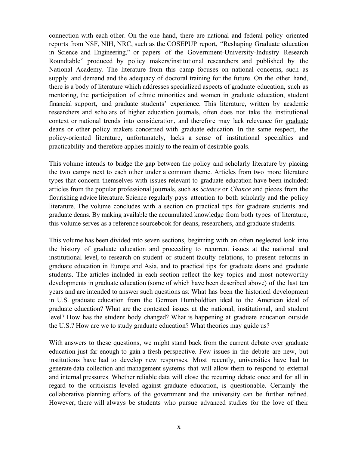connection with each other. On the one hand, there are national and federal policy oriented reports from NSF, NIH, NRC, such as the COSEPUP report, "Reshaping Graduate education in Science and Engineering," or papers of the Government-University-Industry Research Roundtable" produced by policy makers/institutional researchers and published by the National Academy. The literature from this camp focuses on national concerns, such as supply and demand and the adequacy of doctoral training for the future. On the other hand, there is a body of literature which addresses specialized aspects of graduate education, such as mentoring, the participation of ethnic minorities and women in graduate education, student financial support, and graduate students' experience. This literature, written by academic researchers and scholars of higher education journals, often does not take the institutional context or national trends into consideration, and therefore may lack relevance for graduate deans or other policy makers concerned with graduate education. In the same respect, the policy-oriented literature, unfortunately, lacks a sense of institutional specialties and practicability and therefore applies mainly to the realm of desirable goals.

This volume intends to bridge the gap between the policy and scholarly literature by placing the two camps next to each other under a common theme. Articles from two more literature types that concern themselves with issues relevant to graduate education have been included: articles from the popular professional journals, such as *Science* or *Chance* and pieces from the flourishing advice literature. Science regularly pays attention to both scholarly and the policy literature. The volume concludes with a section on practical tips for graduate students and graduate deans. By making available the accumulated knowledge from both types of literature, this volume serves as a reference sourcebook for deans, researchers, and graduate students.

This volume has been divided into seven sections, beginning with an often neglected look into the history of graduate education and proceeding to recurrent issues at the national and institutional level, to research on student or student-faculty relations, to present reforms in graduate education in Europe and Asia, and to practical tips for graduate deans and graduate students. The articles included in each section reflect the key topics and most noteworthy developments in graduate education (some of which have been described above) of the last ten years and are intended to answer such questions as: What has been the historical development in U.S. graduate education from the German Humboldtian ideal to the American ideal of graduate education? What are the contested issues at the national, institutional, and student level? How has the student body changed? What is happening at graduate education outside the U.S.? How are we to study graduate education? What theories may guide us?

With answers to these questions, we might stand back from the current debate over graduate education just far enough to gain a fresh perspective. Few issues in the debate are new, but institutions have had to develop new responses. Most recently, universities have had to generate data collection and management systems that will allow them to respond to external and internal pressures. Whether reliable data will close the recurring debate once and for all in regard to the criticisms leveled against graduate education, is questionable. Certainly the collaborative planning efforts of the government and the university can be further refined. However, there will always be students who pursue advanced studies for the love of their